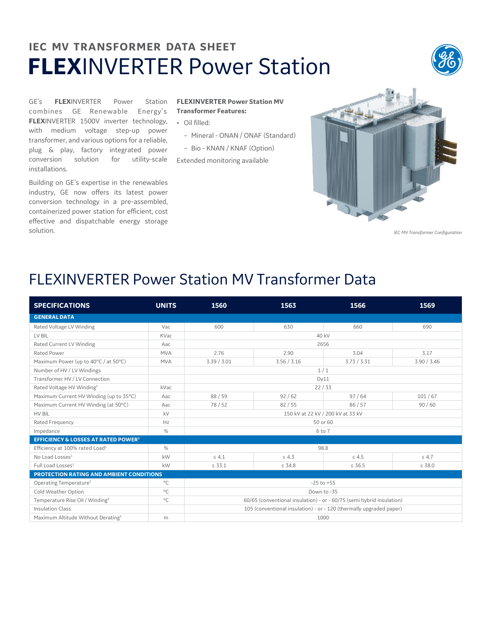## **IEC MV TRANSFORMER DATA SHEET FLEX**INVERTER Power Station



GE's **FLEX**INVERTER Power Station combines GE Renewable Energy's **FLEX**INVERTER 1500V inverter technology, with medium voltage step-up power transformer, and various options for a reliable, plug & play, factory integrated power conversion solution for utility-scale Extended monitoring available installations.

Building on GE's expertise in the renewables industry, GE now offers its latest power conversion technology in a pre-assembled, containerized power station for efficient, cost effective and dispatchable energy storage solution.

## **FLEXINVERTER Power Station MV Transformer Features:**

- Oil filled:
	- Mineral ONAN / ONAF (Standard)
	- Bio KNAN / KNAF (Option)



*IEC MV Transformer Configuration*

## FLEXINVERTER Power Station MV Transformer Data

| <b>SPECIFICATIONS</b>                          | <b>UNITS</b> | 1560                                                                  | 1563        | 1566        | 1569        |  |  |
|------------------------------------------------|--------------|-----------------------------------------------------------------------|-------------|-------------|-------------|--|--|
| <b>GENERAL DATA</b>                            |              |                                                                       |             |             |             |  |  |
| Rated Voltage LV Winding                       | Vac          | 600                                                                   | 630         | 660         | 690         |  |  |
| LV BIL                                         | KVac         | 40 kV                                                                 |             |             |             |  |  |
| Rated Current LV Winding                       | Aac          | 2656                                                                  |             |             |             |  |  |
| Rated Power                                    | <b>MVA</b>   | 2.76                                                                  | 2.90        | 3.04        | 3.17        |  |  |
| Maximum Power (up to 40°C / at 50°C)           | <b>MVA</b>   | 3.39 / 3.01                                                           | 3.56 / 3.16 | 3.73 / 3.31 | 3.90 / 3.46 |  |  |
| Number of HV / LV Windings                     |              | 1/1                                                                   |             |             |             |  |  |
| Transformer HV / LV Connection                 |              | Dv11                                                                  |             |             |             |  |  |
| Rated Voltage HV Winding <sup>2</sup>          | kVac         | 22/33                                                                 |             |             |             |  |  |
| Maximum Current HV Winding (up to 35°C)        | Aac          | 88/59                                                                 | 92/62       | 97/64       | 101/67      |  |  |
| Maximum Current HV Winding (at 50°C)           | Aac          | 78/52                                                                 | 82/55       | 86 / 57     | 90/60       |  |  |
| HV BIL                                         | kV           | 150 kV at 22 kV / 200 kV at 33 kV                                     |             |             |             |  |  |
| Rated Frequency                                | Hz           | 50 or 60                                                              |             |             |             |  |  |
| Impedance                                      | %            | 6 to 7                                                                |             |             |             |  |  |
| <b>EFFICIENCY &amp; LOSSES AT RATED POWER1</b> |              |                                                                       |             |             |             |  |  |
| Efficiency at 100% rated Load <sup>1</sup>     | %            | 98.8                                                                  |             |             |             |  |  |
| No Load Losses <sup>1</sup>                    | kW           | $\leq 4.1$                                                            | $\leq 4.3$  | $\leq 4.5$  | $\leq 4.7$  |  |  |
| Full Load Losses <sup>1</sup>                  | kW           | $\leq 33.1$                                                           | $\leq 34.8$ | $\leq 36.5$ | $\leq 38.0$ |  |  |
| PROTECTION RATING AND AMBIENT CONDITIONS       |              |                                                                       |             |             |             |  |  |
| Operating Temperature <sup>3</sup>             | $^{\circ}$ C | $-25$ to $+55$                                                        |             |             |             |  |  |
| Cold Weather Option                            | $^{\circ}$ C | Down to -35                                                           |             |             |             |  |  |
| Temperature Rise Oil / Winding <sup>4</sup>    | $^{\circ}$ C | 60/65 (conventional insulation) - or - 60/75 (semi hybrid insulation) |             |             |             |  |  |
| <b>Insulation Class</b>                        |              | 105 (conventional insulation) - or - 120 (thermally upgraded paper)   |             |             |             |  |  |
| Maximum Altitude Without Derating <sup>5</sup> | m            | 1000                                                                  |             |             |             |  |  |